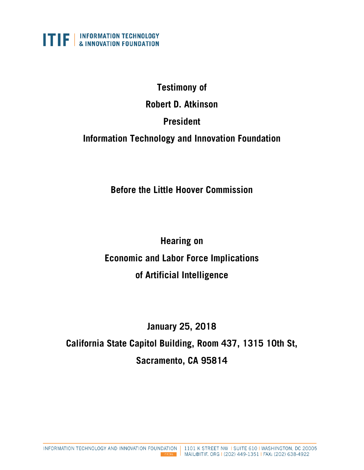

# **Testimony of Robert D. Atkinson President Information Technology and Innovation Foundation**

**Before the Little Hoover Commission**

**Hearing on Economic and Labor Force Implications of Artificial Intelligence**

**January 25, 2018**

**California State Capitol Building, Room 437, 1315 10th St, Sacramento, CA 95814**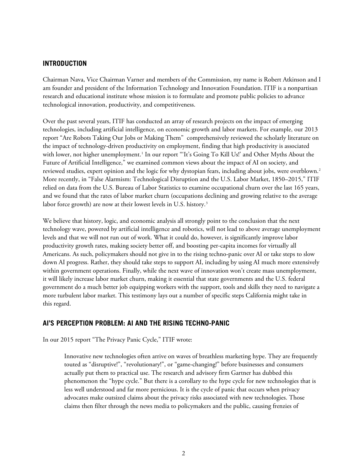#### **INTRODUCTION**

Chairman Nava, Vice Chairman Varner and members of the Commission, my name is Robert Atkinson and I am founder and president of the Information Technology and Innovation Foundation. ITIF is a nonpartisan research and educational institute whose mission is to formulate and promote public policies to advance technological innovation, productivity, and competitiveness.

Over the past several years, ITIF has conducted an array of research projects on the impact of emerging technologies, including artificial intelligence, on economic growth and labor markets. For example, our 2013 report "Are Robots Taking Our Jobs or Making Them" comprehensively reviewed the scholarly literature on the impact of technology-driven productivity on employment, finding that high productivity is associated with lower, not higher unemployment.<sup>[1](#page-11-0)</sup> In our report "'It's Going To Kill Us!' and Other Myths About the Future of Artificial Intelligence," we examined common views about the impact of AI on society, and reviewed studies, expert opinion and the logic for why dystopian fears, including about jobs, were overblown.<sup>[2](#page-11-1)</sup> More recently, in "False Alarmism: Technological Disruption and the U.S. Labor Market, 1850–2015," ITIF relied on data from the U.S. Bureau of Labor Statistics to examine occupational churn over the last 165 years, and we found that the rates of labor market churn (occupations declining and growing relative to the average labor force growth) are now at their lowest levels in U.S. history.<sup>3</sup>

We believe that history, logic, and economic analysis all strongly point to the conclusion that the next technology wave, powered by artificial intelligence and robotics, will not lead to above average unemployment levels and that we will not run out of work. What it could do, however, is significantly improve labor productivity growth rates, making society better off, and boosting per-capita incomes for virtually all Americans. As such, policymakers should not give in to the rising techno-panic over AI or take steps to slow down AI progress. Rather, they should take steps to support AI, including by using AI much more extensively within government operations. Finally, while the next wave of innovation won't create mass unemployment, it will likely increase labor market churn, making it essential that state governments and the U.S. federal government do a much better job equipping workers with the support, tools and skills they need to navigate a more turbulent labor market. This testimony lays out a number of specific steps California might take in this regard.

# **AI'S PERCEPTION PROBLEM: AI AND THE RISING TECHNO-PANIC**

In our 2015 report "The Privacy Panic Cycle," ITIF wrote:

Innovative new technologies often arrive on waves of breathless marketing hype. They are frequently touted as "disruptive!", "revolutionary!", or "game-changing!" before businesses and consumers actually put them to practical use. The research and advisory firm Gartner has dubbed this phenomenon the "hype cycle." But there is a corollary to the hype cycle for new technologies that is less well understood and far more pernicious. It is the cycle of panic that occurs when privacy advocates make outsized claims about the privacy risks associated with new technologies. Those claims then filter through the news media to policymakers and the public, causing frenzies of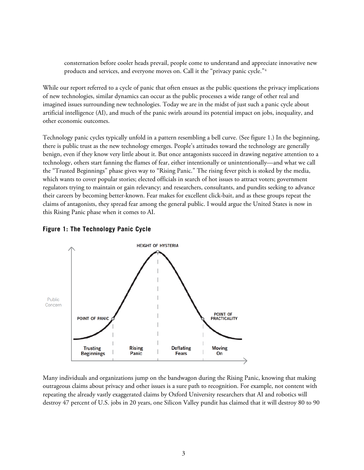consternation before cooler heads prevail, people come to understand and appreciate innovative new products and services, and everyone moves on. Call it the "privacy panic cycle."<sup>[4](#page-12-0)</sup>

While our report referred to a cycle of panic that often ensues as the public questions the privacy implications of new technologies, similar dynamics can occur as the public processes a wide range of other real and imagined issues surrounding new technologies. Today we are in the midst of just such a panic cycle about artificial intelligence (AI), and much of the panic swirls around its potential impact on jobs, inequality, and other economic outcomes.

Technology panic cycles typically unfold in a pattern resembling a bell curve. (See figure 1.) In the beginning, there is public trust as the new technology emerges. People's attitudes toward the technology are generally benign, even if they know very little about it. But once antagonists succeed in drawing negative attention to a technology, others start fanning the flames of fear, either intentionally or unintentionally—and what we call the "Trusted Beginnings" phase gives way to "Rising Panic." The rising fever pitch is stoked by the media, which wants to cover popular stories; elected officials in search of hot issues to attract voters; government regulators trying to maintain or gain relevancy; and researchers, consultants, and pundits seeking to advance their careers by becoming better-known. Fear makes for excellent click-bait, and as these groups repeat the claims of antagonists, they spread fear among the general public. I would argue the United States is now in this Rising Panic phase when it comes to AI.



#### **Figure 1: The Technology Panic Cycle**

Many individuals and organizations jump on the bandwagon during the Rising Panic, knowing that making outrageous claims about privacy and other issues is a sure path to recognition. For example, not content with repeating the already vastly exaggerated claims by Oxford University researchers that AI and robotics will destroy 47 percent of U.S. jobs in 20 years, one Silicon Valley pundit has claimed that it will destroy 80 to 90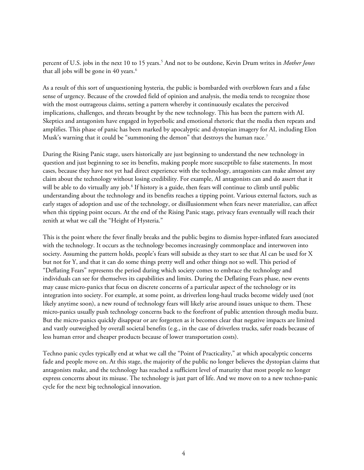percent of U.S. jobs in the next 10 to 15 years.[5](#page-12-1) And not to be outdone, Kevin Drum writes in *Mother Jones* that all jobs will be gone in 40 years.<sup>6</sup>

As a result of this sort of unquestioning hysteria, the public is bombarded with overblown fears and a false sense of urgency. Because of the crowded field of opinion and analysis, the media tends to recognize those with the most outrageous claims, setting a pattern whereby it continuously escalates the perceived implications, challenges, and threats brought by the new technology. This has been the pattern with AI. Skeptics and antagonists have engaged in hyperbolic and emotional rhetoric that the media then repeats and amplifies. This phase of panic has been marked by apocalyptic and dystopian imagery for AI, including Elon Musk's warning that it could be "summoning the demon" that destroys the human race.<sup>[7](#page-12-3)</sup>

During the Rising Panic stage, users historically are just beginning to understand the new technology in question and just beginning to see its benefits, making people more susceptible to false statements. In most cases, because they have not yet had direct experience with the technology, antagonists can make almost any claim about the technology without losing credibility. For example, AI antagonists can and do assert that it will be able to do virtually any job.<sup>[8](#page-12-4)</sup> If history is a guide, then fears will continue to climb until public understanding about the technology and its benefits reaches a tipping point. Various external factors, such as early stages of adoption and use of the technology, or disillusionment when fears never materialize, can affect when this tipping point occurs. At the end of the Rising Panic stage, privacy fears eventually will reach their zenith at what we call the "Height of Hysteria."

This is the point where the fever finally breaks and the public begins to dismiss hyper-inflated fears associated with the technology. It occurs as the technology becomes increasingly commonplace and interwoven into society. Assuming the pattern holds, people's fears will subside as they start to see that AI can be used for X but not for Y, and that it can do some things pretty well and other things not so well. This period of "Deflating Fears" represents the period during which society comes to embrace the technology and individuals can see for themselves its capabilities and limits. During the Deflating Fears phase, new events may cause micro-panics that focus on discrete concerns of a particular aspect of the technology or its integration into society. For example, at some point, as driverless long-haul trucks become widely used (not likely anytime soon), a new round of technology fears will likely arise around issues unique to them. These micro-panics usually push technology concerns back to the forefront of public attention through media buzz. But the micro-panics quickly disappear or are forgotten as it becomes clear that negative impacts are limited and vastly outweighed by overall societal benefits (e.g., in the case of driverless trucks, safer roads because of less human error and cheaper products because of lower transportation costs).

Techno panic cycles typically end at what we call the "Point of Practicality," at which apocalyptic concerns fade and people move on. At this stage, the majority of the public no longer believes the dystopian claims that antagonists make, and the technology has reached a sufficient level of maturity that most people no longer express concerns about its misuse. The technology is just part of life. And we move on to a new techno-panic cycle for the next big technological innovation.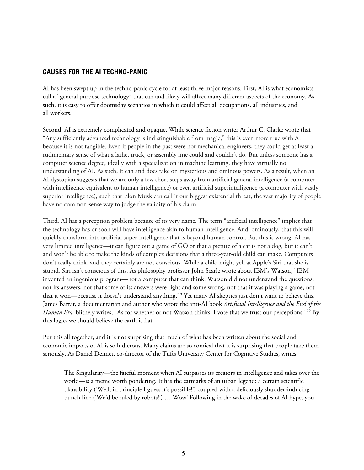### **CAUSES FOR THE AI TECHNO-PANIC**

AI has been swept up in the techno-panic cycle for at least three major reasons. First, AI is what economists call a "general purpose technology" that can and likely will affect many different aspects of the economy. As such, it is easy to offer doomsday scenarios in which it could affect all occupations, all industries, and all workers.

Second, AI is extremely complicated and opaque. While science fiction writer Arthur C. Clarke wrote that "Any sufficiently advanced technology is indistinguishable from magic," this is even more true with AI because it is not tangible. Even if people in the past were not mechanical engineers, they could get at least a rudimentary sense of what a lathe, truck, or assembly line could and couldn't do. But unless someone has a computer science degree, ideally with a specialization in machine learning, they have virtually no understanding of AI. As such, it can and does take on mysterious and ominous powers. As a result, when an AI dystopian suggests that we are only a few short steps away from artificial general intelligence (a computer with intelligence equivalent to human intelligence) or even artificial superintelligence (a computer with vastly superior intelligence), such that Elon Musk can call it our biggest existential threat, the vast majority of people have no common-sense way to judge the validity of his claim.

Third, AI has a perception problem because of its very name. The term "artificial intelligence" implies that the technology has or soon will have intelligence akin to human intelligence. And, ominously, that this will quickly transform into artificial super-intelligence that is beyond human control. But this is wrong. AI has very limited intelligence—it can figure out a game of GO or that a picture of a cat is not a dog, but it can't and won't be able to make the kinds of complex decisions that a three-year-old child can make. Computers don't really think, and they certainly are not conscious. While a child might yell at Apple's Siri that she is stupid, Siri isn't conscious of this. As philosophy professor John Searle wrote about IBM's Watson, "IBM invented an ingenious program—not a computer that can think. Watson did not understand the questions, nor its answers, not that some of its answers were right and some wrong, not that it was playing a game, not that it won—because it doesn't understand anything."[9](#page-12-5) Yet many AI skeptics just don't want to believe this. James Barrat, a documentarian and author who wrote the anti-AI book *Artificial Intelligence and the End of the Human Era,* blithely writes, "As for whether or not Watson thinks, I vote that we trust our perceptions."[10](#page-12-6) By this logic, we should believe the earth is flat.

Put this all together, and it is not surprising that much of what has been written about the social and economic impacts of AI is so ludicrous. Many claims are so comical that it is surprising that people take them seriously. As Daniel Dennet, co-director of the Tufts University Center for Cognitive Studies, writes:

The Singularity—the fateful moment when AI surpasses its creators in intelligence and takes over the world—is a meme worth pondering. It has the earmarks of an urban legend: a certain scientific plausibility ('Well, in principle I guess it's possible!') coupled with a deliciously shudder-inducing punch line ('We'd be ruled by robots!') … Wow! Following in the wake of decades of AI hype, you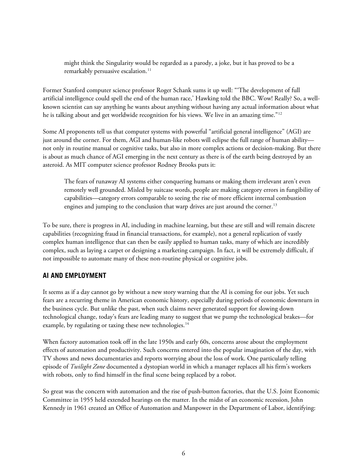might think the Singularity would be regarded as a parody, a joke, but it has proved to be a remarkably persuasive escalation.<sup>[11](#page-12-7)</sup>

Former Stanford computer science professor Roger Schank sums it up well: "'The development of full artificial intelligence could spell the end of the human race,' Hawking told the BBC. Wow! Really? So, a wellknown scientist can say anything he wants about anything without having any actual information about what he is talking about and get worldwide recognition for his views. We live in an amazing time."<sup>[12](#page-12-8)</sup>

Some AI proponents tell us that computer systems with powerful "artificial general intelligence" (AGI) are just around the corner. For them, AGI and human-like robots will eclipse the full range of human ability not only in routine manual or cognitive tasks, but also in more complex actions or decision-making. But there is about as much chance of AGI emerging in the next century as there is of the earth being destroyed by an asteroid. As MIT computer science professor Rodney Brooks puts it:

The fears of runaway AI systems either conquering humans or making them irrelevant aren't even remotely well grounded. Misled by suitcase words, people are making category errors in fungibility of capabilities—category errors comparable to seeing the rise of more efficient internal combustion engines and jumping to the conclusion that warp drives are just around the corner.<sup>[13](#page-12-9)</sup>

To be sure, there is progress in AI, including in machine learning, but these are still and will remain discrete capabilities (recognizing fraud in financial transactions, for example), not a general replication of vastly complex human intelligence that can then be easily applied to human tasks, many of which are incredibly complex, such as laying a carpet or designing a marketing campaign. In fact, it will be extremely difficult, if not impossible to automate many of these non-routine physical or cognitive jobs.

# **AI AND EMPLOYMENT**

It seems as if a day cannot go by without a new story warning that the AI is coming for our jobs. Yet such fears are a recurring theme in American economic history, especially during periods of economic downturn in the business cycle. But unlike the past, when such claims never generated support for slowing down technological change, today's fears are leading many to suggest that we pump the technological brakes—for example, by regulating or taxing these new technologies.<sup>14</sup>

When factory automation took off in the late 1950s and early 60s, concerns arose about the employment effects of automation and productivity. Such concerns entered into the popular imagination of the day, with TV shows and news documentaries and reports worrying about the loss of work. One particularly telling episode of *Twilight Zone* documented a dystopian world in which a manager replaces all his firm's workers with robots, only to find himself in the final scene being replaced by a robot.

So great was the concern with automation and the rise of push-button factories, that the U.S. Joint Economic Committee in 1955 held extended hearings on the matter. In the midst of an economic recession, John Kennedy in 1961 created an Office of Automation and Manpower in the Department of Labor, identifying: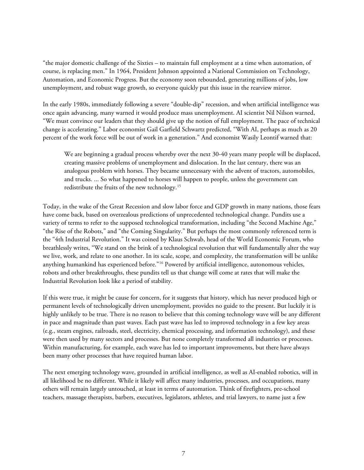"the major domestic challenge of the Sixties – to maintain full employment at a time when automation, of course, is replacing men." In 1964, President Johnson appointed a National Commission on Technology, Automation, and Economic Progress. But the economy soon rebounded, generating millions of jobs, low unemployment, and robust wage growth, so everyone quickly put this issue in the rearview mirror.

In the early 1980s, immediately following a severe "double-dip" recession, and when artificial intelligence was once again advancing, many warned it would produce mass unemployment. AI scientist Nil Nilson warned, "We must convince our leaders that they should give up the notion of full employment. The pace of technical change is accelerating." Labor economist Gail Garfield Schwartz predicted, "With AI, perhaps as much as 20 percent of the work force will be out of work in a generation." And economist Wasily Leontif warned that:

We are beginning a gradual process whereby over the next 30-40 years many people will be displaced, creating massive problems of unemployment and dislocation. In the last century, there was an analogous problem with horses. They became unnecessary with the advent of tractors, automobiles, and trucks. ... So what happened to horses will happen to people, unless the government can redistribute the fruits of the new technology.[15](#page-12-11)

Today, in the wake of the Great Recession and slow labor force and GDP growth in many nations, those fears have come back, based on overzealous predictions of unprecedented technological change. Pundits use a variety of terms to refer to the supposed technological transformation, including "the Second Machine Age," "the Rise of the Robots," and "the Coming Singularity." But perhaps the most commonly referenced term is the "4th Industrial Revolution." It was coined by Klaus Schwab, head of the World Economic Forum, who breathlessly writes, "We stand on the brink of a technological revolution that will fundamentally alter the way we live, work, and relate to one another. In its scale, scope, and complexity, the transformation will be unlike anything humankind has experienced before."<sup>[16](#page-12-12)</sup> Powered by artificial intelligence, autonomous vehicles, robots and other breakthroughs, these pundits tell us that change will come at rates that will make the Industrial Revolution look like a period of stability.

If this were true, it might be cause for concern, for it suggests that history, which has never produced high or permanent levels of technologically driven unemployment, provides no guide to the present. But luckily it is highly unlikely to be true. There is no reason to believe that this coming technology wave will be any different in pace and magnitude than past waves. Each past wave has led to improved technology in a few key areas (e.g., steam engines, railroads, steel, electricity, chemical processing, and information technology), and these were then used by many sectors and processes. But none completely transformed all industries or processes. Within manufacturing, for example, each wave has led to important improvements, but there have always been many other processes that have required human labor.

The next emerging technology wave, grounded in artificial intelligence, as well as AI-enabled robotics, will in all likelihood be no different. While it likely will affect many industries, processes, and occupations, many others will remain largely untouched, at least in terms of automation. Think of firefighters, pre-school teachers, massage therapists, barbers, executives, legislators, athletes, and trial lawyers, to name just a few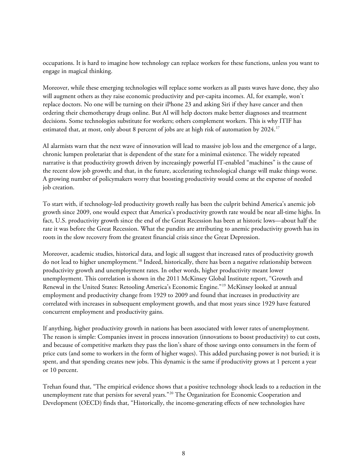occupations. It is hard to imagine how technology can replace workers for these functions, unless you want to engage in magical thinking.

Moreover, while these emerging technologies will replace some workers as all pasts waves have done, they also will augment others as they raise economic productivity and per-capita incomes. AI, for example, won't replace doctors. No one will be turning on their iPhone 23 and asking Siri if they have cancer and then ordering their chemotherapy drugs online. But AI will help doctors make better diagnoses and treatment decisions. Some technologies substitute for workers; others complement workers. This is why ITIF has estimated that, at most, only about 8 percent of jobs are at high risk of automation by 2024.<sup>[17](#page-12-13)</sup>

AI alarmists warn that the next wave of innovation will lead to massive job loss and the emergence of a large, chronic lumpen proletariat that is dependent of the state for a minimal existence. The widely repeated narrative is that productivity growth driven by increasingly powerful IT-enabled "machines" is the cause of the recent slow job growth; and that, in the future, accelerating technological change will make things worse. A growing number of policymakers worry that boosting productivity would come at the expense of needed job creation.

To start with, if technology-led productivity growth really has been the culprit behind America's anemic job growth since 2009, one would expect that America's productivity growth rate would be near all-time highs. In fact, U.S. productivity growth since the end of the Great Recession has been at historic lows—about half the rate it was before the Great Recession. What the pundits are attributing to anemic productivity growth has its roots in the slow recovery from the greatest financial crisis since the Great Depression.

Moreover, academic studies, historical data, and logic all suggest that increased rates of productivity growth do not lead to higher unemployment.[18](#page-13-0) Indeed, historically, there has been a negative relationship between productivity growth and unemployment rates. In other words, higher productivity meant lower unemployment. This correlation is shown in the 2011 McKinsey Global Institute report, "Growth and Renewal in the United States: Retooling America's Economic Engine."[19](#page-13-1) McKinsey looked at annual employment and productivity change from 1929 to 2009 and found that increases in productivity are correlated with increases in subsequent employment growth, and that most years since 1929 have featured concurrent employment and productivity gains.

If anything, higher productivity growth in nations has been associated with lower rates of unemployment. The reason is simple: Companies invest in process innovation (innovations to boost productivity) to cut costs, and because of competitive markets they pass the lion's share of those savings onto consumers in the form of price cuts (and some to workers in the form of higher wages). This added purchasing power is not buried; it is spent, and that spending creates new jobs. This dynamic is the same if productivity grows at 1 percent a year or 10 percent.

Trehan found that, "The empirical evidence shows that a positive technology shock leads to a reduction in the unemployment rate that persists for several years."[20](#page-13-2) The Organization for Economic Cooperation and Development (OECD) finds that, "Historically, the income-generating effects of new technologies have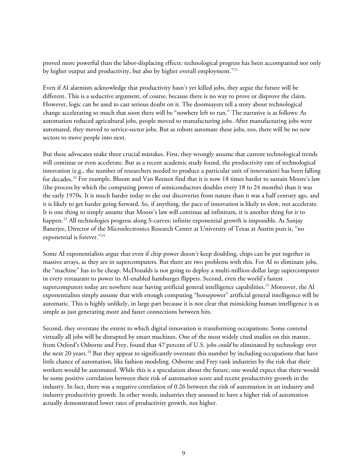proved more powerful than the labor-displacing effects: technological progress has been accompanied not only by higher output and productivity, but also by higher overall employment."<sup>[21](#page-13-3)</sup>

Even if AI alarmists acknowledge that productivity hasn't yet killed jobs, they argue the future will be different. This is a seductive argument, of course, because there is no way to prove or disprove the claim. However, logic can be used to cast serious doubt on it. The doomsayers tell a story about technological change accelerating so much that soon there will be "nowhere left to run." The narrative is as follows: As automation reduced agricultural jobs, people moved to manufacturing jobs. After manufacturing jobs were automated, they moved to service-sector jobs. But as robots automate these jobs, too, there will be no new sectors to move people into next.

But these advocates make three crucial mistakes. First, they wrongly assume that current technological trends will continue or even accelerate. But as a recent academic study found, the productivity rate of technological innovation (e.g., the number of researchers needed to produce a particular unit of innovation) has been falling for decades.[22](#page-13-4) For example, Bloom and Van Reenen find that it is now 18 times harder to sustain Moore's law (the process by which the computing power of semiconductors doubles every 18 to 24 months) than it was the early 1970s. It is much harder today to eke out discoveries from nature than it was a half century ago, and it is likely to get harder going forward. So, if anything, the pace of innovation is likely to slow, not accelerate. It is one thing to simply assume that Moore's law will continue ad infinitum, it is another thing for it to happen. [23](#page-13-5) All technologies progress along S-curves; infinite exponential growth is impossible. As Sanjay Banerjee, Director of the Microelectronics Research Center at University of Texas at Austin puts it, "no exponential is forever."[24](#page-13-6)

Some AI exponentialists argue that even if chip power doesn't keep doubling, chips can be put together in massive arrays, as they are in supercomputers. But there are two problems with this. For AI to eliminate jobs, the "machine" has to be cheap. McDonalds is not going to deploy a multi-million-dollar large supercomputer in every restaurant to power its AI-enabled hamburger flippers. Second, even the world's fastest supercomputers today are nowhere near having artificial general intelligence capabilities.<sup>[25](#page-13-7)</sup> Moreover, the AI exponentialists simply assume that with enough computing "horsepower" artificial general intelligence will be automatic. This is highly unlikely, in large part because it is not clear that mimicking human intelligence is as simple as just generating more and faster connections between bits.

Second, they overstate the extent to which digital innovation is transforming occupations. Some contend virtually all jobs will be disrupted by smart machines. One of the most widely cited studies on this matter, from Oxford's Osborne and Frey, found that 47 percent of U.S. jobs *could* be eliminated by technology over the next 20 years.<sup>[26](#page-13-8)</sup> But they appear to significantly overstate this number by including occupations that have little chance of automation, like fashion modeling. Osborne and Frey rank industries by the risk that their workers would be automated. While this is a speculation about the future, one would expect that there would be some positive correlation between their risk of automation score and recent productivity growth in the industry. In fact, there was a negative correlation of 0.26 between the risk of automation in an industry and industry productivity growth. In other words, industries they assessed to have a higher risk of automation actually demonstrated lower rates of productivity growth, not higher.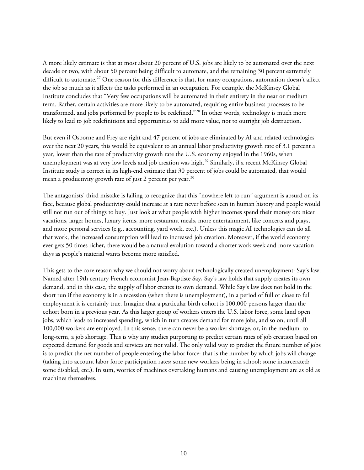A more likely estimate is that at most about 20 percent of U.S. jobs are likely to be automated over the next decade or two, with about 50 percent being difficult to automate, and the remaining 30 percent extremely difficult to automate.<sup>[27](#page-13-9)</sup> One reason for this difference is that, for many occupations, automation doesn't affect the job so much as it affects the tasks performed in an occupation. For example, the McKinsey Global Institute concludes that "Very few occupations will be automated in their entirety in the near or medium term. Rather, certain activities are more likely to be automated, requiring entire business processes to be transformed, and jobs performed by people to be redefined."[28](#page-13-10) In other words, technology is much more likely to lead to job redefinitions and opportunities to add more value, not to outright job destruction.

But even if Osborne and Frey are right and 47 percent of jobs are eliminated by AI and related technologies over the next 20 years, this would be equivalent to an annual labor productivity growth rate of 3.1 percent a year, lower than the rate of productivity growth rate the U.S. economy enjoyed in the 1960s, when unemployment was at very low levels and job creation was high.<sup>[29](#page-13-11)</sup> Similarly, if a recent McKinsey Global Institute study is correct in its high-end estimate that 30 percent of jobs could be automated, that would mean a productivity growth rate of just 2 percent per year.<sup>[30](#page-13-12)</sup>

The antagonists' third mistake is failing to recognize that this "nowhere left to run" argument is absurd on its face, because global productivity could increase at a rate never before seen in human history and people would still not run out of things to buy. Just look at what people with higher incomes spend their money on: nicer vacations, larger homes, luxury items, more restaurant meals, more entertainment, like concerts and plays, and more personal services (e.g., accounting, yard work, etc.). Unless this magic AI technologies can do all that work, the increased consumption will lead to increased job creation. Moreover, if the world economy ever gets 50 times richer, there would be a natural evolution toward a shorter work week and more vacation days as people's material wants become more satisfied.

This gets to the core reason why we should not worry about technologically created unemployment: Say's law. Named after 19th century French economist Jean-Baptiste Say, Say's law holds that supply creates its own demand, and in this case, the supply of labor creates its own demand. While Say's law does not hold in the short run if the economy is in a recession (when there is unemployment), in a period of full or close to full employment it is certainly true. Imagine that a particular birth cohort is 100,000 persons larger than the cohort born in a previous year. As this larger group of workers enters the U.S. labor force, some land open jobs, which leads to increased spending, which in turn creates demand for more jobs, and so on, until all 100,000 workers are employed. In this sense, there can never be a worker shortage, or, in the medium- to long-term, a job shortage. This is why any studies purporting to predict certain rates of job creation based on expected demand for goods and services are not valid. The only valid way to predict the future number of jobs is to predict the net number of people entering the labor force: that is the number by which jobs will change (taking into account labor force participation rates; some new workers being in school; some incarcerated; some disabled, etc.). In sum, worries of machines overtaking humans and causing unemployment are as old as machines themselves.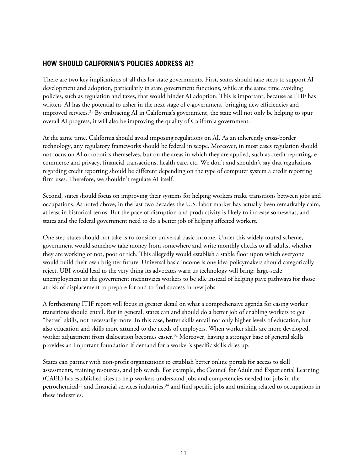#### **HOW SHOULD CALIFORNIA'S POLICIES ADDRESS AI?**

There are two key implications of all this for state governments. First, states should take steps to support AI development and adoption, particularly in state government functions, while at the same time avoiding policies, such as regulation and taxes, that would hinder AI adoption. This is important, because as ITIF has written, AI has the potential to usher in the next stage of e-government, bringing new efficiencies and improved services.<sup>[31](#page-14-0)</sup> By embracing AI in California's government, the state will not only be helping to spur overall AI progress, it will also be improving the quality of California government.

At the same time, California should avoid imposing regulations on AI. As an inherently cross-border technology, any regulatory frameworks should be federal in scope. Moreover, in most cases regulation should not focus on AI or robotics themselves, but on the areas in which they are applied, such as credit reporting, ecommerce and privacy, financial transactions, health care, etc. We don't and shouldn't say that regulations regarding credit reporting should be different depending on the type of computer system a credit reporting firm uses. Therefore, we shouldn't regulate AI itself.

Second, states should focus on improving their systems for helping workers make transitions between jobs and occupations. As noted above, in the last two decades the U.S. labor market has actually been remarkably calm, at least in historical terms. But the pace of disruption and productivity is likely to increase somewhat, and states and the federal government need to do a better job of helping affected workers.

One step states should not take is to consider universal basic income. Under this widely touted scheme, government would somehow take money from somewhere and write monthly checks to all adults, whether they are working or not, poor or rich. This allegedly would establish a stable floor upon which everyone would build their own brighter future. Universal basic income is one idea policymakers should categorically reject. UBI would lead to the very thing its advocates warn us technology will bring: large-scale unemployment as the government incentivizes workers to be idle instead of helping pave pathways for those at risk of displacement to prepare for and to find success in new jobs.

A forthcoming ITIF report will focus in greater detail on what a comprehensive agenda for easing worker transitions should entail. But in general, states can and should do a better job of enabling workers to get "better" skills, not necessarily more. In this case, better skills entail not only higher levels of education, but also education and skills more attuned to the needs of employers. When worker skills are more developed, worker adjustment from dislocation becomes easier.<sup>[32](#page-14-1)</sup> Moreover, having a stronger base of general skills provides an important foundation if demand for a worker's specific skills dries up.

States can partner with non-profit organizations to establish better online portals for access to skill assessments, training resources, and job search. For example, the Council for Adult and Experiential Learning (CAEL) has established sites to help workers understand jobs and competencies needed for jobs in the petrochemical $^{33}$  $^{33}$  $^{33}$  and financial services industries, $^{34}$  $^{34}$  $^{34}$  and find specific jobs and training related to occupations in these industries.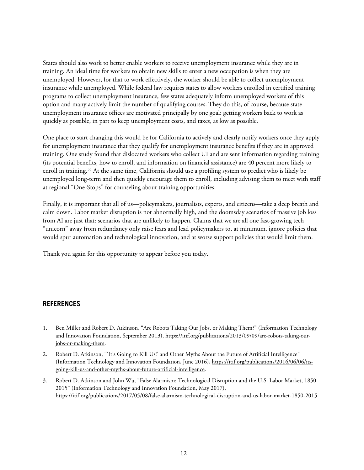States should also work to better enable workers to receive unemployment insurance while they are in training. An ideal time for workers to obtain new skills to enter a new occupation is when they are unemployed. However, for that to work effectively, the worker should be able to collect unemployment insurance while unemployed. While federal law requires states to allow workers enrolled in certified training programs to collect unemployment insurance, few states adequately inform unemployed workers of this option and many actively limit the number of qualifying courses. They do this, of course, because state unemployment insurance offices are motivated principally by one goal: getting workers back to work as quickly as possible, in part to keep unemployment costs, and taxes, as low as possible.

One place to start changing this would be for California to actively and clearly notify workers once they apply for unemployment insurance that they qualify for unemployment insurance benefits if they are in approved training. One study found that dislocated workers who collect UI and are sent information regarding training (its potential benefits, how to enroll, and information on financial assistance) are 40 percent more likely to enroll in training.<sup>35</sup> At the same time, California should use a profiling system to predict who is likely be unemployed long-term and then quickly encourage them to enroll, including advising them to meet with staff at regional "One-Stops" for counseling about training opportunities.

Finally, it is important that all of us—policymakers, journalists, experts, and citizens—take a deep breath and calm down. Labor market disruption is not abnormally high, and the doomsday scenarios of massive job loss from AI are just that: scenarios that are unlikely to happen. Claims that we are all one fast-growing tech "unicorn" away from redundancy only raise fears and lead policymakers to, at minimum, ignore policies that would spur automation and technological innovation, and at worse support policies that would limit them.

Thank you again for this opportunity to appear before you today.

#### **REFERENCES**

<span id="page-11-0"></span><sup>1.</sup> Ben Miller and Robert D. Atkinson, "Are Robots Taking Our Jobs, or Making Them?" (Information Technology and Innovation Foundation, September 2013), [https://itif.org/publications/2013/09/09/are-robots-taking-our](https://itif.org/publications/2013/09/09/are-robots-taking-our-jobs-or-making-them)[jobs-or-making-them.](https://itif.org/publications/2013/09/09/are-robots-taking-our-jobs-or-making-them) 1

<span id="page-11-1"></span><sup>2.</sup> Robert D. Atkinson, "'It's Going to Kill Us!' and Other Myths About the Future of Artificial Intelligence" (Information Technology and Innovation Foundation, June 2016), [https://itif.org/publications/2016/06/06/its](https://itif.org/publications/2016/06/06/its-going-kill-us-and-other-myths-about-future-artificial-intelligence)[going-kill-us-and-other-myths-about-future-artificial-intelligence.](https://itif.org/publications/2016/06/06/its-going-kill-us-and-other-myths-about-future-artificial-intelligence)

<span id="page-11-2"></span><sup>3.</sup> Robert D. Atkinson and John Wu, "False Alarmism: Technological Disruption and the U.S. Labor Market, 1850– 2015" (Information Technology and Innovation Foundation, May 2017), [https://itif.org/publications/2017/05/08/false-alarmism-technological-disruption-and-us-labor-market-1850-2015.](https://itif.org/publications/2017/05/08/false-alarmism-technological-disruption-and-us-labor-market-1850-2015)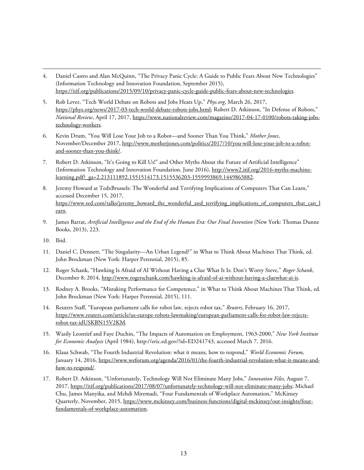- <span id="page-12-0"></span>4. Daniel Castro and Alan McQuinn, "The Privacy Panic Cycle: A Guide to Public Fears About New Technologies" (Information Technology and Innovation Foundation, September 2015), [https://itif.org/publications/2015/09/10/privacy-panic-cycle-guide-public-fears-about-new-technologies.](https://itif.org/publications/2015/09/10/privacy-panic-cycle-guide-public-fears-about-new-technologies)
- <span id="page-12-1"></span>5. Rob Lever, "Tech World Debate on Robots and Jobs Heats Up," *Phys.org*, March 26, 2017, [https://phys.org/news/2017-03-tech-world-debate-robots-jobs.html;](https://phys.org/news/2017-03-tech-world-debate-robots-jobs.html) Robert D. Atkinson, "In Defense of Robots," *National Review*, April 17, 2017, [https://www.nationalreview.com/magazine/2017-04-17-0100/robots-taking-jobs](https://www.nationalreview.com/magazine/2017-04-17-0100/robots-taking-jobs-technology-workers)[technology-workers.](https://www.nationalreview.com/magazine/2017-04-17-0100/robots-taking-jobs-technology-workers)
- <span id="page-12-2"></span>6. Kevin Drum, "You Will Lose Your Job to a Robot—and Sooner Than You Think," *Mother Jones*, November/December 2017[, http://www.motherjones.com/politics/2017/10/you-will-lose-your-job-to-a-robot](http://www.motherjones.com/politics/2017/10/you-will-lose-your-job-to-a-robot-and-sooner-than-you-think/)[and-sooner-than-you-think/.](http://www.motherjones.com/politics/2017/10/you-will-lose-your-job-to-a-robot-and-sooner-than-you-think/)
- <span id="page-12-3"></span>7. Robert D. Atkinson, "It's Going to Kill Us!" and Other Myths About the Future of Artificial Intelligence" (Information Technology and Innovation Foundation, June 2016), [http://www2.itif.org/2016-myths-machine](http://www2.itif.org/2016-myths-machine-learning.pdf?_ga=2.213111892.1551514173.1515536203-1559993869.1449863882)[learning.pdf?\\_ga=2.213111892.1551514173.1515536203-1559993869.1449863882.](http://www2.itif.org/2016-myths-machine-learning.pdf?_ga=2.213111892.1551514173.1515536203-1559993869.1449863882)
- <span id="page-12-4"></span>8. Jeremy Howard at TedxBrussels: The Wonderful and Terrifying Implications of Computers That Can Learn," accessed December 15, 2017, [https://www.ted.com/talks/jeremy\\_howard\\_the\\_wonderful\\_and\\_terrifying\\_implications\\_of\\_computers\\_that\\_can\\_l](https://www.ted.com/talks/jeremy_howard_the_wonderful_and_terrifying_implications_of_computers_that_can_learn) [earn.](https://www.ted.com/talks/jeremy_howard_the_wonderful_and_terrifying_implications_of_computers_that_can_learn)
- <span id="page-12-5"></span>9. James Barrat, *Artificial Intelligence and the End of the Human Era: Our Final Invention* (New York: Thomas Dunne Books, 2013), 223.
- <span id="page-12-6"></span>10. Ibid.

 $\ddot{\phantom{a}}$ 

- <span id="page-12-7"></span>11. Daniel C. Dennett, "The Singularity—An Urban Legend?" in What to Think About Machines That Think, ed. John Brockman (New York: Harper Perennial, 2015), 85.
- <span id="page-12-8"></span>12. Roger Schank, "Hawking Is Afraid of AI Without Having a Clue What It Is: Don't Worry Steve," *Roger Schank*, December 8, 2014, [http://www.rogerschank.com/hawking-is-afraid-of-ai-without-having-a-cluewhat-ai-is.](http://www.rogerschank.com/hawking-is-afraid-of-ai-without-having-a-cluewhat-ai-is)
- <span id="page-12-9"></span>13. Rodney A. Brooks, "Mistaking Performance for Competence," in What to Think About Machines That Think, ed. John Brockman (New York: Harper Perennial, 2015), 111.
- <span id="page-12-10"></span>14. Reuters Staff, "European parliament calls for robot law, rejects robot tax," *Reuters*, February 16, 2017, [https://www.reuters.com/article/us-europe-robots-lawmaking/european-parliament-calls-for-robot-law-rejects](https://www.reuters.com/article/us-europe-robots-lawmaking/european-parliament-calls-for-robot-law-rejects-robot-tax-idUSKBN15V2KM)[robot-tax-idUSKBN15V2KM.](https://www.reuters.com/article/us-europe-robots-lawmaking/european-parliament-calls-for-robot-law-rejects-robot-tax-idUSKBN15V2KM)
- <span id="page-12-11"></span>15. Wasily Leontief and Faye Duchin, "The Impacts of Automation on Employment, 1963-2000," *New York Institute for Economic Analysis* (April 1984), http://eric.ed.gov/?id=ED241743, accessed March 7, 2016.
- <span id="page-12-12"></span>16. Klaus Schwab, "The Fourth Industrial Revolution: what it means, how to respond," *World Economic Forum,* January 14, 2016[, https://www.weforum.org/agenda/2016/01/the-fourth-industrial-revolution-what-it-means-and](https://www.weforum.org/agenda/2016/01/the-fourth-industrial-revolution-what-it-means-and-how-to-respond/)[how-to-respond/.](https://www.weforum.org/agenda/2016/01/the-fourth-industrial-revolution-what-it-means-and-how-to-respond/)
- <span id="page-12-13"></span>17. Robert D. Atkinson, "Unfortunately, Technology Will Not Eliminate Many Jobs," *Innovation Files,* August 7, 2017[, https://itif.org/publications/2017/08/07/unfortunately-technology-will-not-eliminate-many-jobs;](https://itif.org/publications/2017/08/07/unfortunately-technology-will-not-eliminate-many-jobs) Michael Chu, James Manyika, and Mehdi Miremadi, "Four Fundamentals of Workplace Automation," McKinsey Quarterly, November, 2015, [https://www.mckinsey.com/business-functions/digital-mckinsey/our-insights/four](https://www.mckinsey.com/business-functions/digital-mckinsey/our-insights/four-fundamentals-of-workplace-automation)[fundamentals-of-workplace-automation.](https://www.mckinsey.com/business-functions/digital-mckinsey/our-insights/four-fundamentals-of-workplace-automation)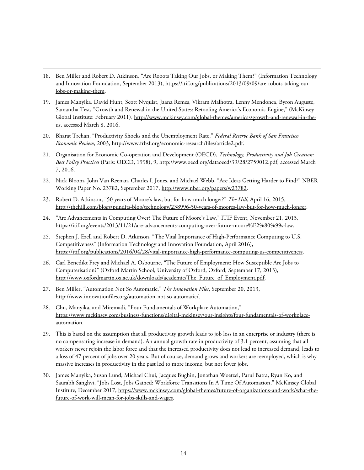<span id="page-13-0"></span>18. Ben Miller and Robert D. Atkinson, "Are Robots Taking Our Jobs, or Making Them?" (Information Technology and Innovation Foundation, September 2013), [https://itif.org/publications/2013/09/09/are-robots-taking-our](https://itif.org/publications/2013/09/09/are-robots-taking-our-jobs-or-making-them)[jobs-or-making-them.](https://itif.org/publications/2013/09/09/are-robots-taking-our-jobs-or-making-them)

 $\ddot{\phantom{a}}$ 

- <span id="page-13-1"></span>19. James Manyika, David Hunt, Scott Nyquist, Jaana Remes, Vikram Malhotra, Lenny Mendonca, Byron Auguste, Samantha Test, "Growth and Renewal in the United States: Retooling America's Economic Engine," (McKinsey Global Institute: February 2011), [http://www.mckinsey.com/global-themes/americas/growth-and-renewal-in-the](http://www.mckinsey.com/global-themes/americas/growth-and-renewal-in-the-us)[us,](http://www.mckinsey.com/global-themes/americas/growth-and-renewal-in-the-us) accessed March 8, 2016.
- <span id="page-13-2"></span>20. Bharat Trehan, "Productivity Shocks and the Unemployment Rate," *Federal Reserve Bank of San Francisco Economic Review*, 2003, [http://www.frbsf.org/economic-research/files/article2.pdf.](http://www.frbsf.org/economic-research/files/article2.pdf)
- <span id="page-13-3"></span>21. Organisation for Economic Co-operation and Development (OECD), *Technology, Productivity and Job Creation: Best Policy Practices* (Paris: OECD, 1998), 9, http://www.oecd.org/dataoecd/39/28/2759012.pdf, accessed March 7, 2016.
- <span id="page-13-4"></span>22. Nick Bloom, John Van Reenan, Charles I. Jones, and Michael Webb, "Are Ideas Getting Harder to Find?" NBER Working Paper No. 23782, September 2017[, http://www.nber.org/papers/w23782.](http://www.nber.org/papers/w23782)
- <span id="page-13-5"></span>23. Robert D. Atkinson, "50 years of Moore's law, but for how much longer?" *The Hill*, April 16, 2015, [http://thehill.com/blogs/pundits-blog/technology/238996-50-years-of-moores-law-but-for-how-much-longer.](http://thehill.com/blogs/pundits-blog/technology/238996-50-years-of-moores-law-but-for-how-much-longer)
- <span id="page-13-6"></span>24. "Are Advancements in Computing Over? The Future of Moore's Law," ITIF Event, November 21, 2013, [https://itif.org/events/2013/11/21/are-advancements-computing-over-future-moore%E2%80%99s-law.](https://itif.org/events/2013/11/21/are-advancements-computing-over-future-moore%E2%80%99s-law)
- <span id="page-13-7"></span>25. Stephen J. Ezell and Robert D. Atkinson, "The Vital Importance of High-Performance Computing to U.S. Competitiveness" (Information Technology and Innovation Foundation, April 2016), [https://itif.org/publications/2016/04/28/vital-importance-high-performance-computing-us-competitiveness.](https://itif.org/publications/2016/04/28/vital-importance-high-performance-computing-us-competitiveness)
- <span id="page-13-8"></span>26. Carl Benedikt Frey and Michael A. Osbourne, "The Future of Employment: How Susceptible Are Jobs to Computerisation?" (Oxford Martin School, University of Oxford, Oxford, September 17, 2013), [http://www.oxfordmartin.ox.ac.uk/downloads/academic/The\\_Future\\_of\\_Employment.pdf.](http://www.oxfordmartin.ox.ac.uk/downloads/academic/The_Future_of_Employment.pdf)
- <span id="page-13-9"></span>27. Ben Miller, "Automation Not So Automatic," *The Innovation Files*, September 20, 2013, [http://www.innovationfiles.org/automation-not-so-automatic/.](http://www.innovationfiles.org/automation-not-so-automatic/)
- <span id="page-13-10"></span>28. Chu, Manyika, and Miremadi, "Four Fundamentals of Workplace Automation," [https://www.mckinsey.com/business-functions/digital-mckinsey/our-insights/four-fundamentals-of-workplace](https://www.mckinsey.com/business-functions/digital-mckinsey/our-insights/four-fundamentals-of-workplace-automation)[automation.](https://www.mckinsey.com/business-functions/digital-mckinsey/our-insights/four-fundamentals-of-workplace-automation)
- <span id="page-13-11"></span>29. This is based on the assumption that all productivity growth leads to job loss in an enterprise or industry (there is no compensating increase in demand). An annual growth rate in productivity of 3.1 percent, assuming that all workers never rejoin the labor force and that the increased productivity does not lead to increased demand, leads to a loss of 47 percent of jobs over 20 years. But of course, demand grows and workers are reemployed, which is why massive increases in productivity in the past led to more income, but not fewer jobs.
- <span id="page-13-12"></span>30. James Manyika, Susan Lund, Michael Chui, Jacques Bughin, Jonathan Woetzel, Parul Batra, Ryan Ko, and Saurabh Sanghvi, "Jobs Lost, Jobs Gained: Workforce Transitions In A Time Of Automation," McKinsey Global Institute, December 2017[, https://www.mckinsey.com/global-themes/future-of-organizations-and-work/what-the](https://www.mckinsey.com/global-themes/future-of-organizations-and-work/what-the-future-of-work-will-mean-for-jobs-skills-and-wages)[future-of-work-will-mean-for-jobs-skills-and-wages.](https://www.mckinsey.com/global-themes/future-of-organizations-and-work/what-the-future-of-work-will-mean-for-jobs-skills-and-wages)